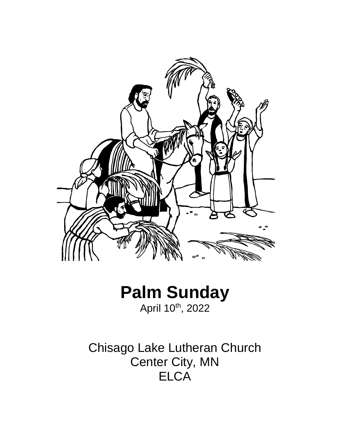

# **Palm Sunday** April 10<sup>th</sup>, 2022

Chisago Lake Lutheran Church Center City, MN **ELCA**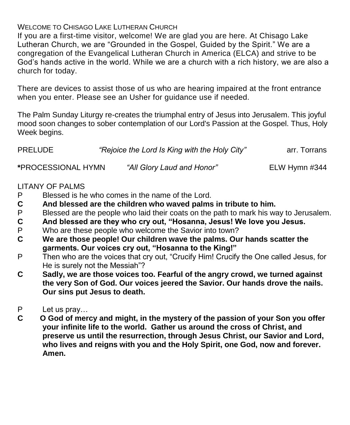# WELCOME TO CHISAGO LAKE LUTHERAN CHURCH

If you are a first-time visitor, welcome! We are glad you are here. At Chisago Lake Lutheran Church, we are "Grounded in the Gospel, Guided by the Spirit." We are a congregation of the Evangelical Lutheran Church in America (ELCA) and strive to be God's hands active in the world. While we are a church with a rich history, we are also a church for today.

There are devices to assist those of us who are hearing impaired at the front entrance when you enter. Please see an Usher for guidance use if needed.

The Palm Sunday Liturgy re-creates the triumphal entry of Jesus into Jerusalem. This joyful mood soon changes to sober contemplation of our Lord's Passion at the Gospel. Thus, Holy Week begins.

| <b>PRELUDE</b> | "Rejoice the Lord Is King with the Holy City" | arr. Torrans |
|----------------|-----------------------------------------------|--------------|
|----------------|-----------------------------------------------|--------------|

**\***PROCESSIONAL HYMN *"All Glory Laud and Honor"* ELW Hymn #344

# LITANY OF PALMS

- P Blessed is he who comes in the name of the Lord.
- **C And blessed are the children who waved palms in tribute to him.**
- P Blessed are the people who laid their coats on the path to mark his way to Jerusalem.<br>C And blessed are they who cry out, "Hosanna, Jesus! We love you Jesus.
- **C And blessed are they who cry out, "Hosanna, Jesus! We love you Jesus.**
- P Who are these people who welcome the Savior into town?
- **C We are those people! Our children wave the palms. Our hands scatter the garments. Our voices cry out, "Hosanna to the King!"**
- P Then who are the voices that cry out, "Crucify Him! Crucify the One called Jesus, for He is surely not the Messiah"?
- **C Sadly, we are those voices too. Fearful of the angry crowd, we turned against the very Son of God. Our voices jeered the Savior. Our hands drove the nails. Our sins put Jesus to death.**
- P Let us pray...<br>C O God of mer
- **C O God of mercy and might, in the mystery of the passion of your Son you offer your infinite life to the world. Gather us around the cross of Christ, and preserve us until the resurrection, through Jesus Christ, our Savior and Lord, who lives and reigns with you and the Holy Spirit, one God, now and forever. Amen.**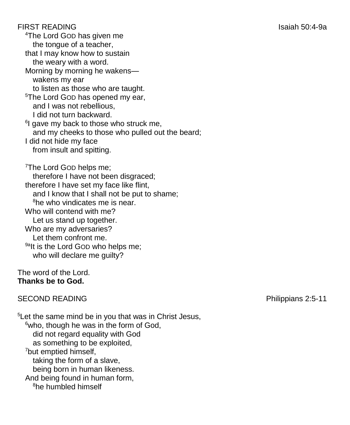FIRST READING Isaiah 50:4-9a <sup>4</sup>The Lord GOD has given me the tongue of a teacher, that I may know how to sustain the weary with a word. Morning by morning he wakens wakens my ear to listen as those who are taught. <sup>5</sup>The Lord GOD has opened my ear, and I was not rebellious, I did not turn backward. <sup>6</sup>I gave my back to those who struck me, and my cheeks to those who pulled out the beard; I did not hide my face from insult and spitting. <sup>7</sup>The Lord GOD helps me: therefore I have not been disgraced; therefore I have set my face like flint, and I know that I shall not be put to shame; <sup>8</sup>he who vindicates me is near. Who will contend with me? Let us stand up together. Who are my adversaries? Let them confront me.

The word of the Lord. **Thanks be to God.**

<sup>9a</sup>lt is the Lord GOD who helps me; who will declare me guilty?

# SECOND READING **Philippians 2:5-11**

<sup>5</sup>Let the same mind be in you that was in Christ Jesus,  $6$ who, though he was in the form of God, did not regard equality with God as something to be exploited, <sup>7</sup>but emptied himself, taking the form of a slave, being born in human likeness. And being found in human form, 8he humbled himself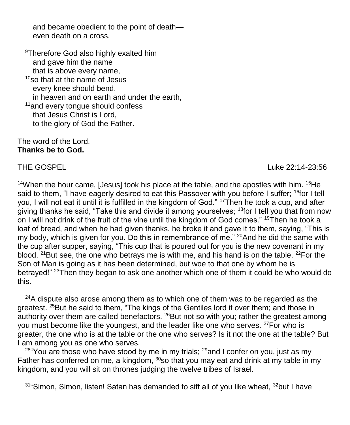and became obedient to the point of death even death on a cross.

<sup>9</sup>Therefore God also highly exalted him and gave him the name that is above every name,  $10$ so that at the name of Jesus every knee should bend, in heaven and on earth and under the earth, <sup>11</sup> and every tongue should confess that Jesus Christ is Lord, to the glory of God the Father.

#### The word of the Lord. **Thanks be to God.**

THE GOSPEL Luke 22:14-23:56

<sup>14</sup>When the hour came, [Jesus] took his place at the table, and the apostles with him. <sup>15</sup>He said to them, "I have eagerly desired to eat this Passover with you before I suffer; <sup>16</sup>for I tell you, I will not eat it until it is fulfilled in the kingdom of God." <sup>17</sup>Then he took a cup, and after giving thanks he said, "Take this and divide it among yourselves; <sup>18</sup>for I tell you that from now on I will not drink of the fruit of the vine until the kingdom of God comes." <sup>19</sup>Then he took a loaf of bread, and when he had given thanks, he broke it and gave it to them, saying, "This is my body, which is given for you. Do this in remembrance of me." <sup>20</sup>And he did the same with the cup after supper, saying, "This cup that is poured out for you is the new covenant in my blood. <sup>21</sup>But see, the one who betrays me is with me, and his hand is on the table. <sup>22</sup>For the Son of Man is going as it has been determined, but woe to that one by whom he is betrayed!" <sup>23</sup>Then they began to ask one another which one of them it could be who would do this.

 $24A$  dispute also arose among them as to which one of them was to be regarded as the greatest. <sup>25</sup>But he said to them, "The kings of the Gentiles lord it over them; and those in authority over them are called benefactors.  $^{26}$ But not so with you; rather the greatest among you must become like the youngest, and the leader like one who serves. <sup>27</sup>For who is greater, the one who is at the table or the one who serves? Is it not the one at the table? But I am among you as one who serves.

 $28^{\circ}$ You are those who have stood by me in my trials;  $29^{\circ}$  and I confer on you, just as my Father has conferred on me, a kingdom,  $30$  so that you may eat and drink at my table in my kingdom, and you will sit on thrones judging the twelve tribes of Israel.

 $31^{\circ}$ Simon, Simon, listen! Satan has demanded to sift all of you like wheat,  $32^{\circ}$ but I have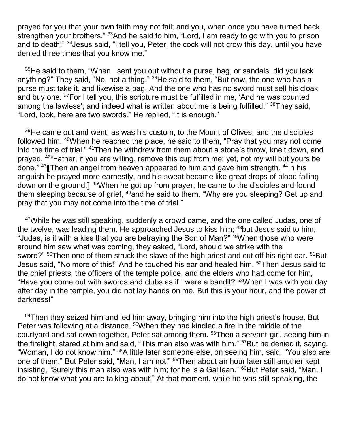prayed for you that your own faith may not fail; and you, when once you have turned back, strengthen your brothers." 33And he said to him, "Lord, I am ready to go with you to prison and to death!" <sup>34</sup> Jesus said, "I tell you, Peter, the cock will not crow this day, until you have denied three times that you know me."

 $35$ He said to them, "When I sent you out without a purse, bag, or sandals, did you lack anything?" They said, "No, not a thing." <sup>36</sup>He said to them, "But now, the one who has a purse must take it, and likewise a bag. And the one who has no sword must sell his cloak and buy one. <sup>37</sup>For I tell you, this scripture must be fulfilled in me, 'And he was counted among the lawless'; and indeed what is written about me is being fulfilled." <sup>38</sup>They said, "Lord, look, here are two swords." He replied, "It is enough."

<sup>39</sup>He came out and went, as was his custom, to the Mount of Olives; and the disciples followed him. <sup>40</sup>When he reached the place, he said to them, "Pray that you may not come into the time of trial." <sup>41</sup>Then he withdrew from them about a stone's throw, knelt down, and prayed, <sup>42</sup>"Father, if you are willing, remove this cup from me; yet, not my will but yours be done." <sup>43</sup> Then an angel from heaven appeared to him and gave him strength. <sup>44</sup>In his anguish he prayed more earnestly, and his sweat became like great drops of blood falling down on the ground.]<sup>45</sup>When he got up from prayer, he came to the disciples and found them sleeping because of grief, <sup>46</sup>and he said to them, "Why are you sleeping? Get up and pray that you may not come into the time of trial."

<sup>47</sup>While he was still speaking, suddenly a crowd came, and the one called Judas, one of the twelve, was leading them. He approached Jesus to kiss him; <sup>48</sup>but Jesus said to him, "Judas, is it with a kiss that you are betraying the Son of Man?" <sup>49</sup>When those who were around him saw what was coming, they asked, "Lord, should we strike with the sword?" <sup>50</sup>Then one of them struck the slave of the high priest and cut off his right ear. <sup>51</sup>But Jesus said, "No more of this!" And he touched his ear and healed him. <sup>52</sup>Then Jesus said to the chief priests, the officers of the temple police, and the elders who had come for him, "Have you come out with swords and clubs as if I were a bandit? <sup>53</sup>When I was with you day after day in the temple, you did not lay hands on me. But this is your hour, and the power of darkness!"

<sup>54</sup>Then they seized him and led him away, bringing him into the high priest's house. But Peter was following at a distance. <sup>55</sup>When they had kindled a fire in the middle of the courtyard and sat down together, Peter sat among them. <sup>56</sup>Then a servant-girl, seeing him in the firelight, stared at him and said, "This man also was with him." <sup>57</sup>But he denied it, saying, "Woman, I do not know him." <sup>58</sup>A little later someone else, on seeing him, said, "You also are one of them." But Peter said, "Man, I am not!" <sup>59</sup>Then about an hour later still another kept insisting, "Surely this man also was with him; for he is a Galilean." <sup>60</sup>But Peter said, "Man, I do not know what you are talking about!" At that moment, while he was still speaking, the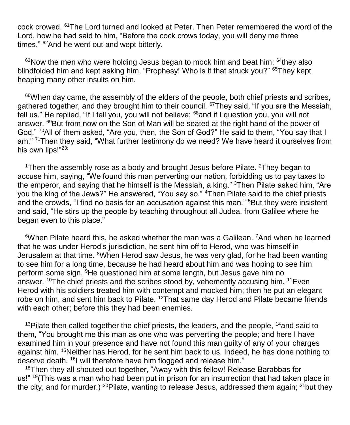cock crowed. <sup>61</sup>The Lord turned and looked at Peter. Then Peter remembered the word of the Lord, how he had said to him, "Before the cock crows today, you will deny me three times." <sup>62</sup>And he went out and wept bitterly.

 $63$ Now the men who were holding Jesus began to mock him and beat him;  $64$ they also blindfolded him and kept asking him, "Prophesy! Who is it that struck you?" <sup>65</sup>They kept heaping many other insults on him.

<sup>66</sup>When day came, the assembly of the elders of the people, both chief priests and scribes, gathered together, and they brought him to their council. <sup>67</sup>They said, "If you are the Messiah, tell us." He replied, "If I tell you, you will not believe; <sup>68</sup>and if I question you, you will not answer. <sup>69</sup>But from now on the Son of Man will be seated at the right hand of the power of God." <sup>70</sup>All of them asked, "Are you, then, the Son of God?" He said to them, "You say that I am." <sup>71</sup>Then they said, "What further testimony do we need? We have heard it ourselves from his own lips!"<sup>23:</sup>

<sup>1</sup>Then the assembly rose as a body and brought Jesus before Pilate. <sup>2</sup>They began to accuse him, saying, "We found this man perverting our nation, forbidding us to pay taxes to the emperor, and saying that he himself is the Messiah, a king." <sup>3</sup>Then Pilate asked him, "Are you the king of the Jews?" He answered, "You say so." <sup>4</sup>Then Pilate said to the chief priests and the crowds, "I find no basis for an accusation against this man." <sup>5</sup>But they were insistent and said, "He stirs up the people by teaching throughout all Judea, from Galilee where he began even to this place."

<sup>6</sup>When Pilate heard this, he asked whether the man was a Galilean. <sup>7</sup>And when he learned that he was under Herod's jurisdiction, he sent him off to Herod, who was himself in Jerusalem at that time. <sup>8</sup>When Herod saw Jesus, he was very glad, for he had been wanting to see him for a long time, because he had heard about him and was hoping to see him perform some sign. <sup>9</sup>He questioned him at some length, but Jesus gave him no answer. <sup>10</sup>The chief priests and the scribes stood by, vehemently accusing him. <sup>11</sup>Even Herod with his soldiers treated him with contempt and mocked him; then he put an elegant robe on him, and sent him back to Pilate. <sup>12</sup>That same day Herod and Pilate became friends with each other; before this they had been enemies.

 $13$ Pilate then called together the chief priests, the leaders, and the people,  $14$  and said to them, "You brought me this man as one who was perverting the people; and here I have examined him in your presence and have not found this man guilty of any of your charges against him. <sup>15</sup>Neither has Herod, for he sent him back to us. Indeed, he has done nothing to deserve death. <sup>16</sup>I will therefore have him flogged and release him."

<sup>18</sup>Then they all shouted out together, "Away with this fellow! Release Barabbas for us!" <sup>19</sup> (This was a man who had been put in prison for an insurrection that had taken place in the city, and for murder.) <sup>20</sup>Pilate, wanting to release Jesus, addressed them again; <sup>21</sup>but they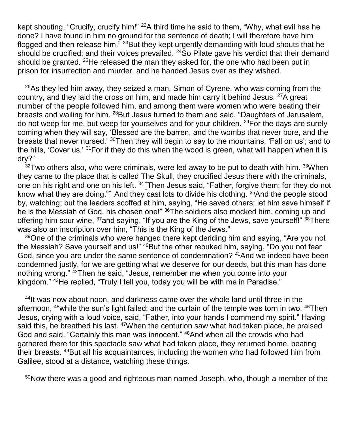kept shouting, "Crucify, crucify him!" <sup>22</sup>A third time he said to them, "Why, what evil has he done? I have found in him no ground for the sentence of death; I will therefore have him flogged and then release him." <sup>23</sup>But they kept urgently demanding with loud shouts that he should be crucified; and their voices prevailed.  $24$ So Pilate gave his verdict that their demand should be granted.  $25$ He released the man they asked for, the one who had been put in prison for insurrection and murder, and he handed Jesus over as they wished.

 $26$ As they led him away, they seized a man, Simon of Cyrene, who was coming from the country, and they laid the cross on him, and made him carry it behind Jesus. <sup>27</sup>A great number of the people followed him, and among them were women who were beating their breasts and wailing for him. <sup>28</sup>But Jesus turned to them and said, "Daughters of Jerusalem, do not weep for me, but weep for yourselves and for your children. <sup>29</sup>For the days are surely coming when they will say, 'Blessed are the barren, and the wombs that never bore, and the breasts that never nursed.' <sup>30</sup>Then they will begin to say to the mountains, 'Fall on us'; and to the hills, 'Cover us.' <sup>31</sup>For if they do this when the wood is green, what will happen when it is dry?"

 $32$ Two others also, who were criminals, were led away to be put to death with him.  $33$ When they came to the place that is called The Skull, they crucified Jesus there with the criminals, one on his right and one on his left. <sup>34</sup> Then Jesus said, "Father, forgive them; for they do not know what they are doing." $\parallel$  And they cast lots to divide his clothing.  $35$  And the people stood by, watching; but the leaders scoffed at him, saying, "He saved others; let him save himself if he is the Messiah of God, his chosen one!" <sup>36</sup>The soldiers also mocked him, coming up and offering him sour wine, <sup>37</sup>and saying, "If you are the King of the Jews, save yourself!" <sup>38</sup>There was also an inscription over him, "This is the King of the Jews."

<sup>39</sup>One of the criminals who were hanged there kept deriding him and saying, "Are you not the Messiah? Save yourself and us!" <sup>40</sup>But the other rebuked him, saying, "Do you not fear God, since you are under the same sentence of condemnation? <sup>41</sup>And we indeed have been condemned justly, for we are getting what we deserve for our deeds, but this man has done nothing wrong." <sup>42</sup>Then he said, "Jesus, remember me when you come into your kingdom." <sup>43</sup>He replied, "Truly I tell you, today you will be with me in Paradise."

<sup>44</sup>It was now about noon, and darkness came over the whole land until three in the afternoon, <sup>45</sup>while the sun's light failed; and the curtain of the temple was torn in two. <sup>46</sup>Then Jesus, crying with a loud voice, said, "Father, into your hands I commend my spirit." Having said this, he breathed his last. <sup>47</sup>When the centurion saw what had taken place, he praised God and said, "Certainly this man was innocent." <sup>48</sup>And when all the crowds who had gathered there for this spectacle saw what had taken place, they returned home, beating their breasts. <sup>49</sup>But all his acquaintances, including the women who had followed him from Galilee, stood at a distance, watching these things.

50Now there was a good and righteous man named Joseph, who, though a member of the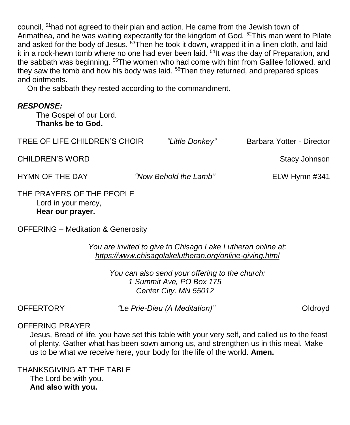council, <sup>51</sup>had not agreed to their plan and action. He came from the Jewish town of Arimathea, and he was waiting expectantly for the kingdom of God. <sup>52</sup>This man went to Pilate and asked for the body of Jesus. <sup>53</sup>Then he took it down, wrapped it in a linen cloth, and laid it in a rock-hewn tomb where no one had ever been laid. <sup>54</sup>It was the day of Preparation, and the sabbath was beginning. <sup>55</sup>The women who had come with him from Galilee followed, and they saw the tomb and how his body was laid. <sup>56</sup>Then they returned, and prepared spices and ointments.

On the sabbath they rested according to the commandment.

### *RESPONSE:*

The Gospel of our Lord. **Thanks be to God.**

| TREE OF LIFE CHILDREN'S CHOIR | "Little Donkey"       | Barbara Yotter - Director |
|-------------------------------|-----------------------|---------------------------|
| <b>CHILDREN'S WORD</b>        |                       | Stacy Johnson             |
| HYMN OF THE DAY               | "Now Behold the Lamb" | ELW Hymn $\#341$          |
| THE PRAYERS OF THE PEOPLE     |                       |                           |

# Lord in your mercy, **Hear our prayer.**

OFFERING – Meditation & Generosity

*You are invited to give to Chisago Lake Lutheran online at: <https://www.chisagolakelutheran.org/online-giving.html>*

> *You can also send your offering to the church: 1 Summit Ave, PO Box 175 Center City, MN 55012*

OFFERTORY *"Le Prie-Dieu (A Meditation)"* Cldroyd

#### OFFERING PRAYER

Jesus, Bread of life, you have set this table with your very self, and called us to the feast of plenty. Gather what has been sown among us, and strengthen us in this meal. Make us to be what we receive here, your body for the life of the world. **Amen.**

THANKSGIVING AT THE TABLE The Lord be with you. **And also with you.**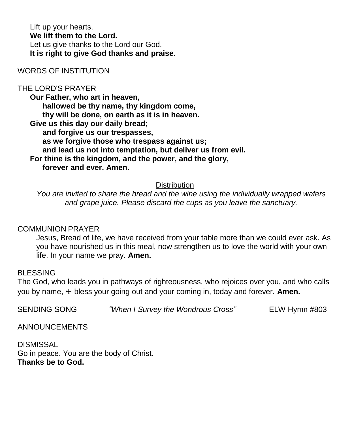Lift up your hearts. **We lift them to the Lord.** Let us give thanks to the Lord our God. **It is right to give God thanks and praise.**

WORDS OF INSTITUTION

# THE LORD'S PRAYER

**Our Father, who art in heaven, hallowed be thy name, thy kingdom come, thy will be done, on earth as it is in heaven. Give us this day our daily bread; and forgive us our trespasses, as we forgive those who trespass against us; and lead us not into temptation, but deliver us from evil. For thine is the kingdom, and the power, and the glory, forever and ever. Amen.**

#### **Distribution**

*You are invited to share the bread and the wine using the individually wrapped wafers and grape juice. Please discard the cups as you leave the sanctuary.*

#### COMMUNION PRAYER

Jesus, Bread of life, we have received from your table more than we could ever ask. As you have nourished us in this meal, now strengthen us to love the world with your own life. In your name we pray. **Amen.**

#### BLESSING

The God, who leads you in pathways of righteousness, who rejoices over you, and who calls you by name, ☩ bless your going out and your coming in, today and forever. **Amen.**

SENDING SONG *"When I Survey the Wondrous Cross"* ELW Hymn #803

ANNOUNCEMENTS

DISMISSAL Go in peace. You are the body of Christ. **Thanks be to God.**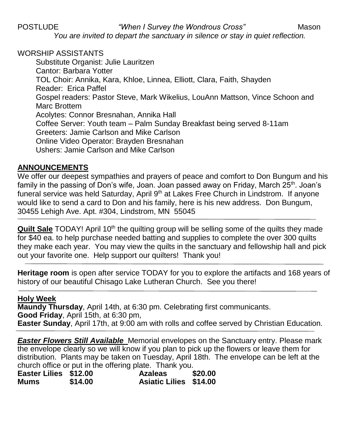POSTLUDE *"When I Survey the Wondrous Cross"* Mason *You are invited to depart the sanctuary in silence or stay in quiet reflection.*

### WORSHIP ASSISTANTS

Substitute Organist: Julie Lauritzen Cantor: Barbara Yotter TOL Choir: Annika, Kara, Khloe, Linnea, Elliott, Clara, Faith, Shayden Reader: Erica Paffel Gospel readers: Pastor Steve, Mark Wikelius, LouAnn Mattson, Vince Schoon and Marc Brottem Acolytes: Connor Bresnahan, Annika Hall Coffee Server: Youth team – Palm Sunday Breakfast being served 8-11am Greeters: Jamie Carlson and Mike Carlson Online Video Operator: Brayden Bresnahan Ushers: Jamie Carlson and Mike Carlson

# **ANNOUNCEMENTS**

We offer our deepest sympathies and prayers of peace and comfort to Don Bungum and his family in the passing of Don's wife, Joan. Joan passed away on Friday, March  $25<sup>th</sup>$ . Joan's funeral service was held Saturday, April 9<sup>th</sup> at Lakes Free Church in Lindstrom. If anyone would like to send a card to Don and his family, here is his new address. Don Bungum, 30455 Lehigh Ave. Apt. #304, Lindstrom, MN 55045

**Quilt Sale** TODAY! April 10<sup>th</sup> the quilting group will be selling some of the quilts they made for \$40 ea. to help purchase needed batting and supplies to complete the over 300 quilts they make each year. You may view the quilts in the sanctuary and fellowship hall and pick out your favorite one. Help support our quilters! Thank you!

**Heritage room** is open after service TODAY for you to explore the artifacts and 168 years of history of our beautiful Chisago Lake Lutheran Church. See you there!

# **Holy Week**

**Maundy Thursday**, April 14th, at 6:30 pm. Celebrating first communicants. **Good Friday**, April 15th, at 6:30 pm, **Easter Sunday**, April 17th, at 9:00 am with rolls and coffee served by Christian Education.

*Easter Flowers Still Available* Memorial envelopes on the Sanctuary entry. Please mark the envelope clearly so we will know if you plan to pick up the flowers or leave them for distribution. Plants may be taken on Tuesday, April 18th. The envelope can be left at the church office or put in the offering plate. Thank you.

| Easter Lilies \$12.00 |         | .<br><b>Azaleas</b>           | \$20.00 |
|-----------------------|---------|-------------------------------|---------|
| Mums                  | \$14.00 | <b>Asiatic Lilies \$14.00</b> |         |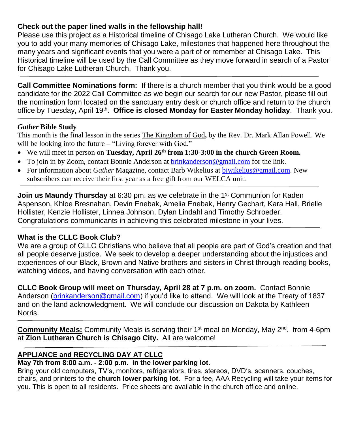### **Check out the paper lined walls in the fellowship hall!**

Please use this project as a Historical timeline of Chisago Lake Lutheran Church. We would like you to add your many memories of Chisago Lake, milestones that happened here throughout the many years and significant events that you were a part of or remember at Chisago Lake. This Historical timeline will be used by the Call Committee as they move forward in search of a Pastor for Chisago Lake Lutheran Church. Thank you.

**Call Committee Nominations form:** If there is a church member that you think would be a good candidate for the 2022 Call Committee as we begin our search for our new Pastor, please fill out the nomination form located on the sanctuary entry desk or church office and return to the church office by Tuesday, April 19<sup>th</sup>. Office is closed Monday for Easter Monday holiday. Thank you.

#### *Gather* **Bible Study**

This month is the final lesson in the series The Kingdom of God**,** by the Rev. Dr. Mark Allan Powell. We will be looking into the future – "Living forever with God."

- We will meet in person on **Tuesday, April 26th from 1:30-3:00 in the church Green Room.**
- To join in by Zoom, contact Bonnie Anderson at brinkanderson @gmail.com for the link.
- For information about *Gather* Magazine, contact Barb Wikelius at [bjwikelius@gmail.com.](mailto:bjwikelius@gmail.com) New subscribers can receive their first year as a free gift from our WELCA unit.

**Join us Maundy Thursday** at 6:30 pm. as we celebrate in the 1<sup>st</sup> Communion for Kaden Aspenson, Khloe Bresnahan, Devin Enebak, Amelia Enebak, Henry Gechart, Kara Hall, Brielle Hollister, Kenzie Hollister, Linnea Johnson, Dylan Lindahl and Timothy Schroeder. Congratulations communicants in achieving this celebrated milestone in your lives.

#### **What is the CLLC Book Club?**

We are a group of CLLC Christians who believe that all people are part of God's creation and that all people deserve justice. We seek to develop a deeper understanding about the injustices and experiences of our Black, Brown and Native brothers and sisters in Christ through reading books, watching videos, and having conversation with each other.

**CLLC Book Group will meet on Thursday, April 28 at 7 p.m. on zoom.** Contact Bonnie Anderson [\(brinkanderson@gmail.com\)](mailto:brinkanderson@gmail.com) if you'd like to attend. We will look at the Treaty of 1837 and on the land acknowledgment. We will conclude our discussion on Dakota by Kathleen Norris.

**Community Meals:** Community Meals is serving their 1<sup>st</sup> meal on Monday, May 2<sup>nd</sup>. from 4-6pm at **Zion Lutheran Church is Chisago City.** All are welcome!

# **APPLIANCE and RECYCLING DAY AT CLLC**

# **May 7th from 8:00 a.m. - 2:00 p.m. in the lower parking lot.**

Bring your old computers, TV's, monitors, refrigerators, tires, stereos, DVD's, scanners, couches, chairs, and printers to the **church lower parking lot.** For a fee, AAA Recycling will take your items for you. This is open to all residents. Price sheets are available in the church office and online.